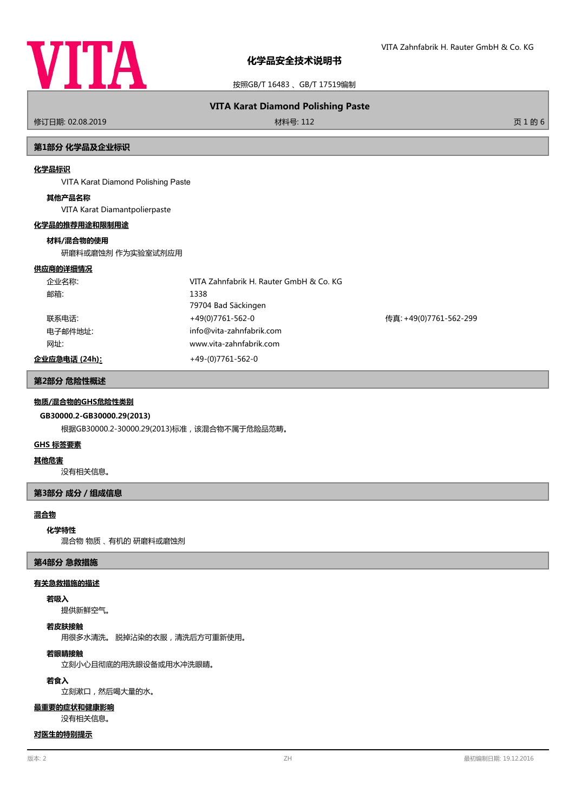

按照GB/T 16483 、GB/T 17519编制

# **VITA Karat Diamond Polishing Paste**

修订日期: 02.08.2019 材料号: 112 页 1 的 6

## **第1部分 化学品及企业标识**

#### **化学品标识**

VITA Karat Diamond Polishing Paste

#### **其他产品名称**

VITA Karat Diamantpolierpaste

## **化学品的推荐用途和限制用途**

### **材料/混合物的使用**

研磨料或磨蚀剂 作为实验室试剂应用

#### **供应商的详细情况**

| 企业名称:         | VITA Zahnfabrik H. Rauter GmbH & Co. KG |                        |
|---------------|-----------------------------------------|------------------------|
| 邮箱:           | 1338                                    |                        |
|               | 79704 Bad Säckingen                     |                        |
| 联系电话:         | +49(0)7761-562-0                        | 传真: +49(0)7761-562-299 |
| 电子邮件地址:       | info@vita-zahnfabrik.com                |                        |
| 网址:           | www.vita-zahnfabrik.com                 |                        |
| 企业应急电话 (24h): | +49-(0)7761-562-0                       |                        |

## **第2部分 危险性概述**

### **物质/混合物的GHS危险性类别**

## **GB30000.2-GB30000.29(2013)**

根据GB30000.2-30000.29(2013)标准,该混合物不属于危险品范畴。

#### **GHS 标签要素**

## **其他危害**

没有相关信息。

## **第3部分 成分/组成信息**

## **混合物**

## **化学特性**

混合物 物质 、 有机的 研磨料或磨蚀剂

### **第4部分 急救措施**

#### **有关急救措施的描述**

## **若吸入**

提供新鲜空气。

## **若皮肤接触**

用很多水清洗。 脱掉沾染的衣服,清洗后方可重新使用。

# **若眼睛接触**

立刻小心且彻底的用洗眼设备或用水冲洗眼睛。

## **若食入**

立刻漱口,然后喝大量的水。

### **最重要的症状和健康影响**

没有相关信息。

## **对医生的特别提示**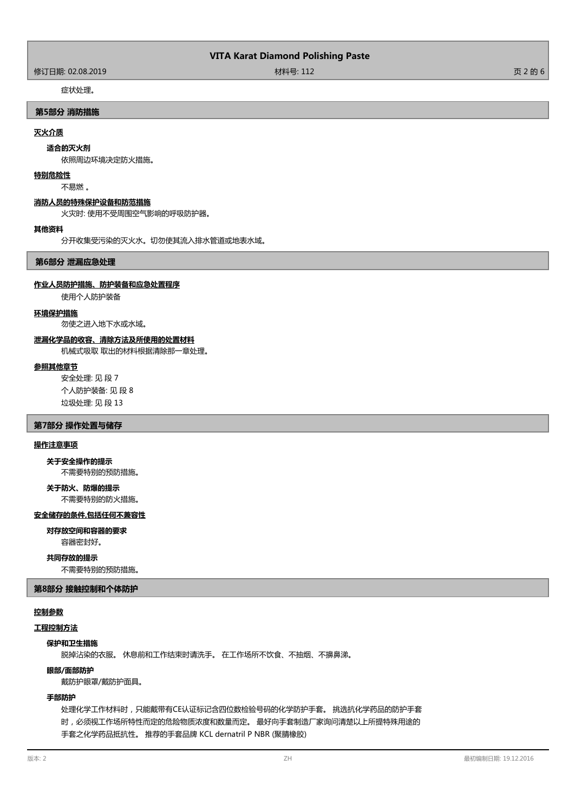## **VITA Karat Diamond Polishing Paste**

修订日期: 02.08.2019 材料号: 112 页 2 的 6

# 症状处理。

## **第5部分 消防措施**

#### **灭火介质**

#### **适合的灭火剂**

依照周边环境决定防火措施。

#### **特别危险性**

不易燃 。

## **消防人员的特殊保护设备和防范措施**

火灾时: 使用不受周围空气影响的呼吸防护器。

#### **其他资料**

分开收集受污染的灭火水。切勿使其流入排水管道或地表水域。

#### **第6部分 泄漏应急处理**

#### **作业人员防护措施、防护装备和应急处置程序**

使用个人防护装备

## **环境保护措施**

勿使之进入地下水或水域。

## **泄漏化学品的收容、清除方法及所使用的处置材料**

#### 机械式吸取 取出的材料根据清除那一章处理。

#### **参照其他章节**

安全处理: 见 段 7 个人防护装备: 见 段 8 垃圾处理: 见 段 13

## **第7部分 操作处置与储存**

## **操作注意事项**

**关于安全操作的提示**

不需要特别的预防措施。

# **关于防火、防爆的提示**

不需要特别的防火措施。

## **安全储存的条件,包括任何不兼容性**

# **对存放空间和容器的要求**

容器密封好。

## **共同存放的提示**

不需要特别的预防措施。

## **第8部分 接触控制和个体防护**

## **控制参数**

## **工程控制方法**

**保护和卫生措施**

脱掉沾染的衣服。 休息前和工作结束时请洗手。 在工作场所不饮食、不抽烟、不擤鼻涕。

## **眼部/面部防护**

戴防护眼罩/戴防护面具。

## **手部防护**

处理化学工作材料时,只能戴带有CE认证标记含四位数检验号码的化学防护手套。 挑选抗化学药品的防护手套 时,必须视工作场所特性而定的危险物质浓度和数量而定。 最好向手套制造厂家询问清楚以上所提特殊用途的 手套之化学药品抵抗性。 推荐的手套品牌 KCL dernatril P NBR (聚腈橡胶)

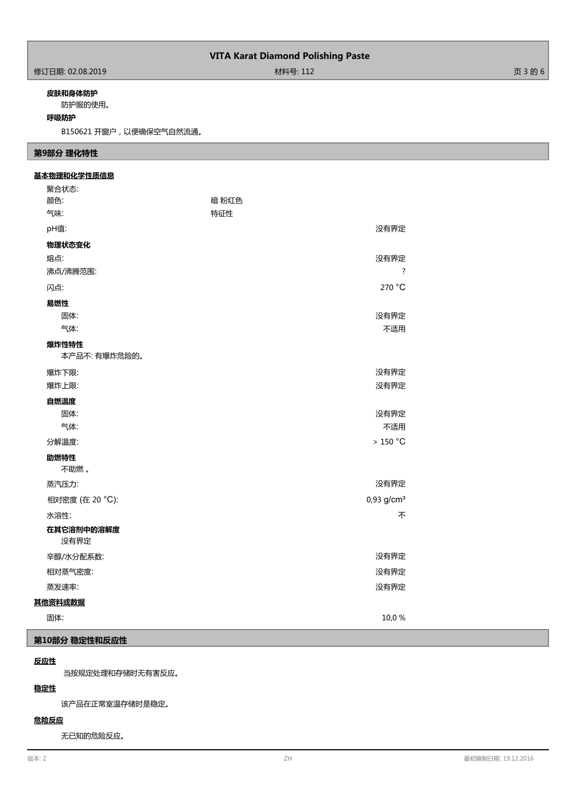## **VITA Karat Diamond Polishing Paste**

## **皮肤和身体防护**

防护服的使用。

## **呼吸防护**

B150621 开窗户,以便确保空气自然流通。

## **第9部分 理化特性**

## **基本物理和化学性质信息**

| 聚合状态:           |                        |
|-----------------|------------------------|
| 颜色:             | 暗 粉红色                  |
| 气味:             | 特征性                    |
| pH值:            | 没有界定                   |
| 物理状态变化          |                        |
| 熔点:             | 没有界定                   |
| 沸点/沸腾范围:        | $\ddot{?}$             |
| 闪点:             | 270 °C                 |
| 易燃性             |                        |
| 固体:             | 没有界定                   |
| 气体:             | 不适用                    |
| 爆炸性特性           |                        |
| 本产品不: 有爆炸危险的。   |                        |
| 爆炸下限:           | 没有界定                   |
| 爆炸上限:           | 没有界定                   |
| 自燃温度            |                        |
| 固体:             | 没有界定                   |
| 气体:             | 不适用                    |
| 分解温度:           | $>150 °C$              |
| 助燃特性<br>不助燃。    |                        |
| 蒸汽压力:           | 没有界定                   |
| 相对密度 (在 20 °C): | 0,93 g/cm <sup>3</sup> |
| 水溶性:            | 不                      |
| 在其它溶剂中的溶解度      |                        |
| 没有界定            |                        |
| 辛醇/水分配系数:       | 没有界定                   |
| 相对蒸气密度:         | 没有界定                   |
| 蒸发速率:           | 没有界定                   |
| 其他资料或数据         |                        |
| 固体:             | 10,0%                  |

## **第10部分 稳定性和反应性**

## **反应性**

当按规定处理和存储时无有害反应。

## **稳定性**

该产品在正常室温存储时是稳定。

#### **危险反应**

无已知的危险反应。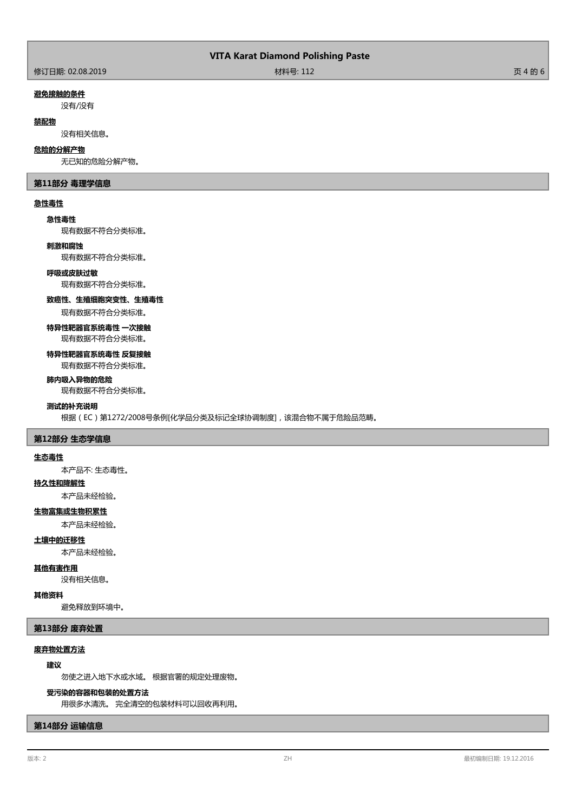| <b>VITA Karat Diamond Polishing Paste</b> |  |  |  |
|-------------------------------------------|--|--|--|
|-------------------------------------------|--|--|--|

#### **避免接触的条件**

没有/没有

#### **禁配物**

没有相关信息。

#### **危险的分解产物**

无已知的危险分解产物。

## **第11部分 毒理学信息**

## **急性毒性**

**急性毒性**

现有数据不符合分类标准。

#### **刺激和腐蚀**

现有数据不符合分类标准。

#### **呼吸或皮肤过敏**

现有数据不符合分类标准。

#### **致癌性、生殖细胞突变性、生殖毒性**

现有数据不符合分类标准。

## **特异性靶器官系统毒性 一次接触** 现有数据不符合分类标准。

## 现有数据不符合分类标准。 **特异性靶器官系统毒性 反复接触**

# **肺内吸入异物的危险**

现有数据不符合分类标准。

## **测试的补充说明**

根据(EC)第1272/2008号条例[化学品分类及标记全球协调制度],该混合物不属于危险品范畴。

#### **第12部分 生态学信息**

#### **生态毒性**

本产品不: 生态毒性。

#### **持久性和降解性**

本产品未经检验。

#### **生物富集或生物积累性**

本产品未经检验。

## **土壤中的迁移性**

本产品未经检验。

## **其他有害作用**

没有相关信息。

### **其他资料**

避免释放到环境中。

## **第13部分 废弃处置**

## **废弃物处置方法**

### **建议**

勿使之进入地下水或水域。 根据官署的规定处理废物。

## **受污染的容器和包装的处置方法**

用很多水清洗。 完全清空的包装材料可以回收再利用。

## **第14部分 运输信息**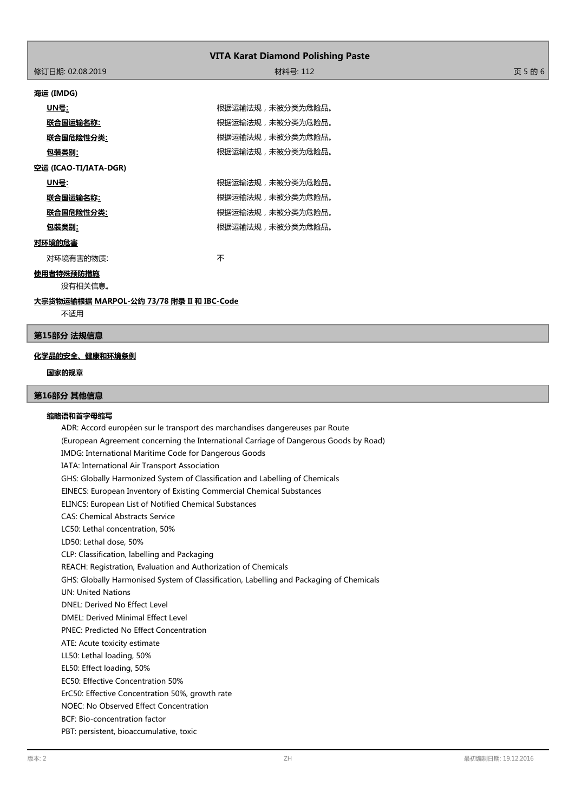| <b>VITA Karat Diamond Polishing Paste</b> |                  |         |  |
|-------------------------------------------|------------------|---------|--|
| 修订日期: 02.08.2019                          | 材料号: 112         | 页 5 的 6 |  |
| 海运 (IMDG)                                 |                  |         |  |
| <u> UN를:</u>                              | 根据运输法规,未被分类为危险品。 |         |  |
| 联合国运输名称:                                  | 根据运输法规,未被分类为危险品。 |         |  |
| 联合国危险性分类:                                 | 根据运输法规,未被分类为危险品。 |         |  |
| <u>包装类别:</u>                              | 根据运输法规,未被分类为危险品。 |         |  |
| 空运 (ICAO-TI/IATA-DGR)                     |                  |         |  |
| <u> UN号:</u>                              | 根据运输法规,未被分类为危险品。 |         |  |

| 联合国运输名称:  | 根据运输法规,未被分类为危险品。 |
|-----------|------------------|
| 联合国危险性分类: | 根据运输法规,未被分类为危险品。 |
| 包装类别:     | 根据运输法规,未被分类为危险品。 |

#### **对环境的危害**

对环境有害的物质: カランド インタン かいしゃ 不

## **使用者特殊预防措施**

没有相关信息。

**大宗货物运输根据 MARPOL-公约 73/78 附录 II 和 IBC-Code**

不适用

#### **第15部分 法规信息**

## **化学品的安全、健康和环境条例**

### **国家的规章**

## **第16部分 其他信息**

#### **缩略语和首字母缩写**

ADR: Accord européen sur le transport des marchandises dangereuses par Route (European Agreement concerning the International Carriage of Dangerous Goods by Road) IMDG: International Maritime Code for Dangerous Goods IATA: International Air Transport Association GHS: Globally Harmonized System of Classification and Labelling of Chemicals EINECS: European Inventory of Existing Commercial Chemical Substances ELINCS: European List of Notified Chemical Substances CAS: Chemical Abstracts Service LC50: Lethal concentration, 50% LD50: Lethal dose, 50% CLP: Classification, labelling and Packaging REACH: Registration, Evaluation and Authorization of Chemicals GHS: Globally Harmonised System of Classification, Labelling and Packaging of Chemicals UN: United Nations DNEL: Derived No Effect Level DMEL: Derived Minimal Effect Level PNEC: Predicted No Effect Concentration ATE: Acute toxicity estimate LL50: Lethal loading, 50% EL50: Effect loading, 50% EC50: Effective Concentration 50% ErC50: Effective Concentration 50%, growth rate NOEC: No Observed Effect Concentration BCF: Bio-concentration factor PBT: persistent, bioaccumulative, toxic